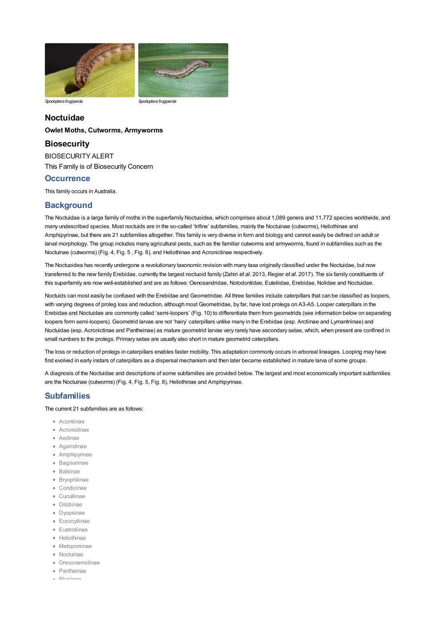

*Spodoptera frugiperda Spodoptera frugiperda*

# **Noctuidae**

### **Owlet Moths, Cutworms, Armyworms**

## **Biosecurity**

BIOSECURITY ALERT This Family is of Biosecurity Concern

## **Occurrence**

This family occurs in Australia.

# **Background**

The Noctuidae is a large family of moths in the [superfamily](file:///C:/Users/mathewt/AppData/Local/Temp/glossary.pdf#Caterpillar%20Key_superfamily) Noctuoidea, which comprises about 1,089 genera and 11,772 species worldwide, and many undescribed species. Most noctuids are in the so-called 'trifine' subfamilies, mainly the Noctuinae (cutworms), Heliothinae and Amphipyrinae, but there are 21 subfamilies altogether. This family is very diverse in form and biology and cannot easily be defined on adult or larval morphology. The group includes many agricultural pests, such as the familiar cutworms and armyworms, found in subfamilies such as the Noctuinae (cutworms) (Fig. 4, Fig. 5 , Fig. 8), and Heliothinae and Acronictinae respectively.

The Noctuoidea has recently undergone a revolutionary taxonomic revision with many taxa originally classified under the Noctuidae, but now transferred to the new family [Erebidae](file:///C:/Users/mathewt/AppData/Local/Temp/erebidae.pdf), currently the largest noctuoid family (Zahiri *et al*. 2013, Regier *et al*. 2017). The six family constituents of this superfamily are now well-established and are as follows: Oenosandridae, [Notodontidae](file:///C:/Users/mathewt/AppData/Local/Temp/notodontidae.pdf), Euteliidae, [Erebidae](file:///C:/Users/mathewt/AppData/Local/Temp/erebidae.pdf), Nolidae and Noctuidae.

Noctuids can most easily be confused with the [Erebidae](file:///C:/Users/mathewt/AppData/Local/Temp/erebidae.pdf) and Geometridae. All three families include caterpillars that can be classified as loopers, with varying degrees of proleg loss and reduction, although most Geometridae, by far, have lost [prolegs](file:///C:/Users/mathewt/AppData/Local/Temp/glossary.pdf#Caterpillar%20Key_prolegs) on A3-A5. Looper caterpillars in the [Erebidae](file:///C:/Users/mathewt/AppData/Local/Temp/erebidae.pdf) and Noctuidae are commonly called 'semi-loopers' (Fig. 10) to differentiate them from geometrids (see information below on separating loopers form semi-loopers). Geometrid larvae are not 'hairy' caterpillars unlike many in the [Erebidae](file:///C:/Users/mathewt/AppData/Local/Temp/erebidae.pdf) (esp. Arctiinae and Lymantriinae) and Noctuidae (esp. Acronictinae and Pantheinae) as mature geometrid larvae very rarely have [secondary](file:///C:/Users/mathewt/AppData/Local/Temp/glossary.pdf#Caterpillar%20Key_secondary%20setae) setae, which, when present are confined in small numbers to the prolegs. Primary setae are usually also short in mature geometrid caterpillars.

The loss or reduction of prolegs in caterpillars enables faster mobility. This adaptation commonly occurs in arboreal lineages. Looping may have first evolved in early instars of caterpillars as a dispersal mechanism and then later became established in mature [larva](file:///C:/Users/mathewt/AppData/Local/Temp/glossary.pdf#Caterpillar%20Key_larva) of some groups.

A diagnosis of the Noctuidae and descriptions of some subfamilies are provided below. The largest and most economically important subfamilies are the Noctuinae (cutworms) (Fig. 4, Fig. 5, Fig. 8), Heliothinae and Amphipyrinae.

# **Subfamilies**

The current 21 subfamilies are as follows:

- Acontiinae
- Acronictinae
- Aedinae
- Agaristinae
- Amphipyrinae
- Bagisarinae
- Balsinae
- Bryophilinae
- Condicinae
- Cuculliinae
- Dilobinae
- Dyopsinae
- · Eucocytiinae
- Eustrotiinae
- Heliothinae
- Metoponiinae
- Noctuinae
- Oncocnemidinae
- Pantheinae
- Plusiinae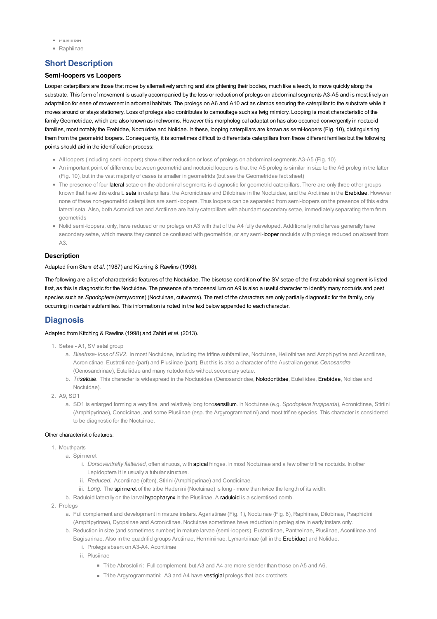- Plusiinae
- Raphiinae

# **Short Description**

### **Semi-loopers vs Loopers**

Looper caterpillars are those that move by alternatively arching and straightening their bodies, much like a leech, to move quickly along the substrate. This form of movement is usually accompanied by the loss or reduction of prolegs on abdominal segments A3-A5 and is most likely an adaptation for ease of movement in arboreal habitats. The prolegs on A6 and A10 act as clamps securing the [caterpillar](file:///C:/Users/mathewt/AppData/Local/Temp/glossary.pdf#Caterpillar%20Key_caterpillar) to the substrate while it moves around or stays stationery. Loss of prolegs also contributes to camouflage such as twig mimicry. Looping is most characteristic of the familyGeometridae, which are also known as inchworms. However this morphological adaptation has also occurred convergently in noctuoid families, most notably the [Erebidae](file:///C:/Users/mathewt/AppData/Local/Temp/erebidae.pdf), Noctuidae and Nolidae. In these, looping caterpillars are known as semi-loopers (Fig. 10), distinguishing them from the geometrid loopers. Consequently, it is sometimes difficult to differentiate caterpillars from these different families but the following points should aid in the identification process:

- All loopers (including semi-loopers) show either reduction or loss of prolegs on abdominal segments A3-A5 (Fig. 10)
- An important point of difference between geometrid and noctuoid loopers is that the A5 proleg is similar in size to the A6 proleg in the latter (Fig. 10), but in the vast majority of cases is smaller in geometrids (but see the Geometridae fact sheet)
- The presence of four [lateral](file:///C:/Users/mathewt/AppData/Local/Temp/glossary.pdf#Caterpillar%20Key_lateral) setae on the abdominal segments is diagnostic for geometrid caterpillars. There are only three other groups known that have this extra L [seta](file:///C:/Users/mathewt/AppData/Local/Temp/glossary.pdf#Caterpillar%20Key_seta) in caterpillars, the Acronictinae and Dilobinae in the Noctuidae, and the Arctiinae in the [Erebidae](file:///C:/Users/mathewt/AppData/Local/Temp/erebidae.pdf). However none of these non-geometrid caterpillars are semi-loopers. Thus loopers can be separated from semi-loopers on the presence of this extra lateral seta. Also, both Acronictinae and Arctiinae are hairy caterpillars with abundant secondary setae, immediately separating them from geometrids
- Nolid semi-loopers, only, have reduced or no prolegs on A3 with that of the A4 fully developed. Additionally nolid larvae generally have secondary setae, which means they cannot be confused with geometrids, or any semi-[looper](file:///C:/Users/mathewt/AppData/Local/Temp/glossary.pdf#Caterpillar%20Key_looper) noctuids with prolegs reduced on absent from A3.

## **Description**

#### Adapted from Stehr *et al*. (1987) and Kitching & Rawlins (1998).

The following are a list of characteristic features of the Noctuidae. The [bisetose](file:///C:/Users/mathewt/AppData/Local/Temp/glossary.pdf#Caterpillar%20Key_bisetose) condition of the SV setae of the first abdominal segment is listed first, as this is diagnostic for the Noctuidae. The presence of a [tonosensillum](file:///C:/Users/mathewt/AppData/Local/Temp/glossary.pdf#Caterpillar%20Key_tonosensillum) on A9 is also a useful character to identify many noctuids and pest species such as *Spodoptera* (armyworms) (Noctuinae, cutworms). The rest of the characters are only partially diagnostic for the family, only occurring in certain subfamilies. This information is noted in the text below appended to each character.

# **Diagnosis**

## Adapted from Kitching & Rawlins (1998) and Zahiri *et al*. (2013).

- 1. Setae A1, SV setal group
	- a. *Bisetose- loss of SV2*. In most Noctuidae, including the trifine subfamilies, Noctuinae, Heliothinae and Amphipyrine and Acontiinae, Acronictinae, Eustrotiinae (part) and Plusiinae (part). But this is also a character of the Australian genus *Oenosandra* (Oenosandrinae), Euteliidae and many notodontids without secondary setae.
	- b. *Tr[isetose](file:///C:/Users/mathewt/AppData/Local/Temp/glossary.pdf#Caterpillar%20Key_setose)*. This character is widespread in the Noctuoidea (Oenosandridae, [Notodontidae](file:///C:/Users/mathewt/AppData/Local/Temp/notodontidae.pdf), Euteliidae, [Erebidae](file:///C:/Users/mathewt/AppData/Local/Temp/erebidae.pdf), Nolidae and Noctuidae).
- 2. A9, SD1
	- a. SD1 is enlarged forming a very fine, and relatively long tono[sensillum](file:///C:/Users/mathewt/AppData/Local/Temp/glossary.pdf#Caterpillar%20Key_sensillum). In Noctuinae (e.g. *Spodoptera frugiperda*), Acronictinae, Stiriini (Amphipyrinae), Condicinae, and some Plusiinae (esp. the Argyrogrammatini) and most trifine species. This character is considered to be diagnostic for the Noctuinae.

#### Other characteristic features:

- 1. Mouthparts
	- a. Spinneret
		- i. *Dorsoventrally flattened*, often sinuous, with [apical](file:///C:/Users/mathewt/AppData/Local/Temp/glossary.pdf#Caterpillar%20Key_apical) fringes. In most Noctuinae and a few other trifine noctuids. In other Lepidoptera it is usually a tubular structure.
		- ii. *Reduced*. Acontiinae (often), Stirini (Amphipyrinae) and Condicinae.
		- iii. *Long.* The [spinneret](file:///C:/Users/mathewt/AppData/Local/Temp/glossary.pdf#Caterpillar%20Key_spinneret) of the tribe Hadenini (Noctuinae) is long more than twice the length of its width.
	- b. Raduloid laterally on the larval [hypopharynx](file:///C:/Users/mathewt/AppData/Local/Temp/glossary.pdf#Caterpillar%20Key_hypopharynx) In the Plusiinae. A [raduloid](file:///C:/Users/mathewt/AppData/Local/Temp/glossary.pdf#Caterpillar%20Key_raduloid) is a sclerotised comb.
- 2. Prolegs
	- a. Full complement and development in mature instars. Agaristinae (Fig. 1), Noctuinae (Fig. 8), Raphiinae, Dilobinae, Psaphidini (Amphipyrinae), Dyopsinae and Acronictinae. Noctuinae sometimes have reduction in proleg size in early instars only.
	- b. Reduction in size (and sometimes number) in mature larvae (semi-loopers). Eustrotiinae, Pantheinae, Plusiinae, Acontiinae and Bagisarinae. Also in the quadrifid groups Arctiinae, Herminiinae, Lymantriinae (all in the [Erebidae](file:///C:/Users/mathewt/AppData/Local/Temp/erebidae.pdf)) and Nolidae.
		- i. Prolegs absent on A3-A4. Acontiinae
		- ii. Plusiinae
			- Tribe Abrostolini: Full complement, but A3 and A4 are more slender than those on A5 and A6.
			- Tribe Argyrogrammatini: A3 and A4 have [vestigial](file:///C:/Users/mathewt/AppData/Local/Temp/glossary.pdf#Caterpillar%20Key_vestigial) prolegs that lack crotchets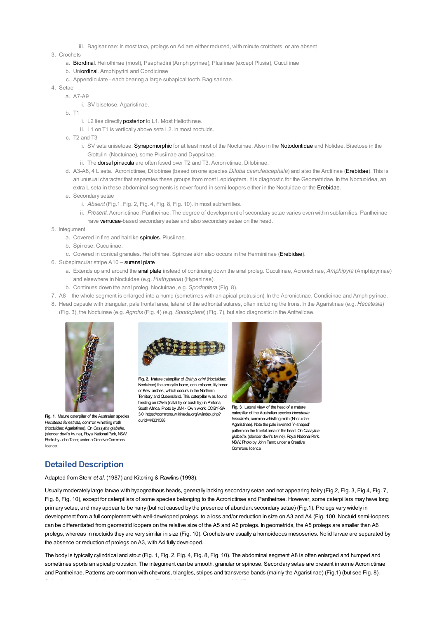iii. Bagisarinae: In most taxa, prolegs on A4 are either reduced, with minute crotchets, or are absent

3. Crochets

- a. [Biordinal](file:///C:/Users/mathewt/AppData/Local/Temp/glossary.pdf#Caterpillar%20Key_biordinal). Heliothinae (most), Psaphadini (Amphipyrinae), Plusiinae (except Plusia), Cuculiinae
- b. Un[iordinal](file:///C:/Users/mathewt/AppData/Local/Temp/glossary.pdf#Caterpillar%20Key_ordinal). Amphipyrini and Condicinae
- c. Appendiculate each bearing a large subapical tooth. Bagisarinae.
- 4. Setae
	- a. A7-A9
		- i. SV bisetose. Agaristinae.
		- b. T1
			- i. L2 lies directly [posterior](file:///C:/Users/mathewt/AppData/Local/Temp/glossary.pdf#Caterpillar%20Key_posterior) to L1. Most Heliothinae.
			- ii. L1 on T1 is vertically above seta L2. In most noctuids.
		- c. T2 and T3
			- i. SV seta unisetose. [Synapomorphic](file:///C:/Users/mathewt/AppData/Local/Temp/glossary.pdf#Caterpillar%20Key_synapomorphic) for at least most of the Noctuinae. Also in the [Notodontidae](file:///C:/Users/mathewt/AppData/Local/Temp/notodontidae.pdf) and Nolidae. Bisetose in the Glottulini (Noctuinae), some Plusiinae and Dyopsinae.
			- ii. The **[dorsal](file:///C:/Users/mathewt/AppData/Local/Temp/glossary.pdf#Caterpillar%20Key_dorsal) [pinacula](file:///C:/Users/mathewt/AppData/Local/Temp/glossary.pdf#Caterpillar%20Key_pinacula)** are often fused over T2 and T3. Acronictinae, Dilobinae.
		- d. A3-A6, 4 L seta. Acronictinae, Dilobinae (based on one species *Diloba caeruleocephala*) and also the Arctiinae [\(Erebidae](file:///C:/Users/mathewt/AppData/Local/Temp/erebidae.pdf)). This is an unusual character that separates these groups from most Lepidoptera. It is diagnostic for the Geometridae. In the Noctuoidea, an extra L seta in these abdominal segments is never found in semi-loopers either in the Noctuidae or the [Erebidae](file:///C:/Users/mathewt/AppData/Local/Temp/erebidae.pdf).
		- e. Secondary setae
			- i. *Absent* (Fig.1, Fig. 2, Fig. 4, Fig. 8, Fig. 10). In most subfamilies.
				- ii. *Present*. Acronictinae, Pantheinae. The degree of development of secondary setae varies even within subfamilies. Pantheinae have [verrucae](file:///C:/Users/mathewt/AppData/Local/Temp/glossary.pdf#Caterpillar%20Key_verrucae)-based secondary setae and also secondary setae on the head.
- 5. Integument
	- a. Covered in fine and hairlike [spinules](file:///C:/Users/mathewt/AppData/Local/Temp/glossary.pdf#Caterpillar%20Key_spinules). Plusiinae.
	- b. Spinose. Cuculiinae.
	- c. Covered in conical granules. Heliothinae. Spinose skin also occurs in the Herminiinae [\(Erebidae](file:///C:/Users/mathewt/AppData/Local/Temp/erebidae.pdf)).
- 6. Subspiracular stripe A10 [suranal](file:///C:/Users/mathewt/AppData/Local/Temp/glossary.pdf#Caterpillar%20Key_suranal) [plate](file:///C:/Users/mathewt/AppData/Local/Temp/glossary.pdf#Caterpillar%20Key_plate)
	- a. Extends up and around the anal [plate](file:///C:/Users/mathewt/AppData/Local/Temp/glossary.pdf#Caterpillar%20Key_anal%20plate) instead of continuing down the anal proleg. Cuculiinae, Acronictinae, *Amphipyra* (Amphipyrinae) and elsewhere in Noctuidae (e.g. *Plathypena*) (Hypeninae).
	- b. Continues down the anal proleg. Noctuinae, e.g. *Spodoptera* (Fig. 8).
- 7. A8 the whole segment is enlarged into a hump (sometimes with an apical protrusion). In the Acronictinae, Condicinae and Amphipyrinae.
- 8. Head capsule with triangular, pale frontal area, lateral of the adfrontal sutures, often including the frons. In the Agaristinae (e.g. *Hecatesia*) (Fig. 3), the Noctuinae (e.g. *Agrotis* (Fig. 4) (e.g. *Spodoptera*) (Fig. 7), but also diagnostic in the Anthelidae.



**Fig. 1**. Mature caterpillar of the Australian species *Hecatesia fenestrata*, commonwhistling moth (Noctuidae: Agaristinae). On*Cassytha glabella*, (slender devil's twine), Royal National Park, NSW. Photo by John Tann; under a Creative Commons licence.



**Fig. 2**. Mature caterpillar of *Brithys crini* (Noctuidae: Noctuinae) the amaryllis borer, crinumborer, lily borer or Kew arches, which occurs in the Northern Territory andQueensland. This caterpillar was found feeding on *Clivia* (natal lily or bush lily) in Pretoria, South Africa. Photo by JMK- Ownwork, CCBY-SA 3.0, [https://commons.wikimedia.org/w/index.php](https://commons.wikimedia.org/w/index.php?curid=44331588)[?](file:///C:/Users/mathewt/Documents/Support/Di%20Moyle/2020-11-30/key/caterpillar_key/Media/Images/entities/noctuidae/diagnosis/noct_fig_2_fsf.jpg) curid=44331588



**Fig. 3**. Lateral view of the head of a mature caterpillar of the Australian species *Hecatesia fenestrata*, commonwhistling moth (Noctuidae: Agaristinae). Note the pale inverted 'Y-shaped' pattern on the frontal area of the head. On*Cassytha* glabella, (slender devil's twine), Royal National Park, NSW. Photo by John Tann: under a Creative Commons licence

# **Detailed Description**

Adapted from Stehr *et al*. (1987) and Kitching & Rawlins (1998).

Usually moderately large larvae with hypognathous heads, generally lacking secondary setae and not appearing hairy (Fig.2, Fig. 3, Fig.4, Fig. 7, Fig. 8, Fig. 10), except for caterpillars of some species belonging to the Acronictinae and Pantheinae. However, some caterpillars may have long [primary](file:///C:/Users/mathewt/AppData/Local/Temp/glossary.pdf#Caterpillar%20Key_primary%20setae) setae, and may appear to be hairy (but not caused by the presence of abundant secondary setae) (Fig.1). Prolegs vary widely in development from a full complement with well-developed prolegs, to a loss and/or reduction in size on A3 and A4 (Fig. 100. Noctuid semi-loopers can be differentiated from geometrid loopers on the relative size of the A5 and A6 prolegs. In geometrids, the A5 prolegs are smaller than A6 prolegs, whereas in noctuids they are very similar in size (Fig. 10). Crochets are usually a [homoideous](file:///C:/Users/mathewt/AppData/Local/Temp/glossary.pdf#Caterpillar%20Key_homoideous) [mesoseries](file:///C:/Users/mathewt/AppData/Local/Temp/glossary.pdf#Caterpillar%20Key_mesoseries). Nolid larvae are separated by the absence or reduction of prolegs on A3, with A4 fully developed.

The body is typically cylindrical and stout (Fig. 1, Fig. 2, Fig. 4, Fig. 8, Fig. 10). The abdominal segment A8 is often enlarged and humped and sometimes sports an apical protrusion. The [integument](file:///C:/Users/mathewt/AppData/Local/Temp/glossary.pdf#Caterpillar%20Key_integument) can be smooth, granular or spinose. Secondary setae are present in some Acronictinae and Pantheinae. Patterns are common with chevrons, triangles, stripes and transverse bands (mainly the Agaristinae) (Fig.1) (but see Fig. 8).  $S_{\rm eff}$  are generally elliptical, with the first than those on  $\mathcal{A}_{\rm eff}$  and  $\mathcal{A}_{\rm eff}$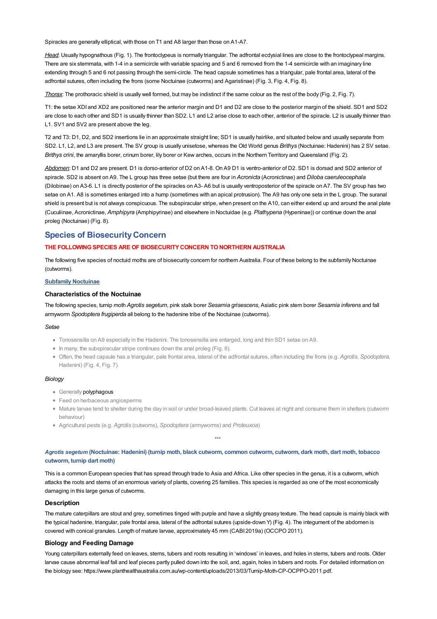Spiracles are generally elliptical, with those on T1 and A8 larger than those on A1-A7.

*Head*: Usually hypognathous (Fig. 1). The [frontoclypeus](file:///C:/Users/mathewt/AppData/Local/Temp/glossary.pdf#Caterpillar%20Key_frontoclypeus) is normally triangular. The adfrontal [ecdysial](file:///C:/Users/mathewt/AppData/Local/Temp/glossary.pdf#Caterpillar%20Key_ecdysial%20lines) lines are close to the frontoclypeal margins. There are six [stemmata,](file:///C:/Users/mathewt/AppData/Local/Temp/glossary.pdf#Caterpillar%20Key_stemmata) with 1-4 in a semicircle with variable spacing and 5 and 6 removed from the 1-4 semicircle with an imaginary line extending through 5 and 6 not passing through the semi-circle. The head capsule sometimes has a triangular, pale frontal area, lateral of the adfrontal sutures, often including the frons (some Noctuinae (cutworms) and Agaristinae) (Fig. 3, Fig. 4, Fig. 8).

*Thorax*: The [prothoracic](file:///C:/Users/mathewt/AppData/Local/Temp/glossary.pdf#Caterpillar%20Key_shield) shield is usually well formed, but may be indistinct if the same colour as the rest of the body (Fig. 2, Fig. 7).

T1: the setae XDI and XD2 are positioned near the [anterior](file:///C:/Users/mathewt/AppData/Local/Temp/glossary.pdf#Caterpillar%20Key_anterior) margin and D1 and D2 are close to the posterior margin of the shield. SD1 and SD2 are close to each other and SD1 is usually thinner than SD2. L1 and L2 arise close to each other, anterior of the [spiracle](file:///C:/Users/mathewt/AppData/Local/Temp/glossary.pdf#Caterpillar%20Key_spiracle). L2 is usually thinner than L1. SV1 and SV2 are present above the leg.

T2 and T3: D1, D2, and SD2 insertions lie in an [approximate](file:///C:/Users/mathewt/AppData/Local/Temp/glossary.pdf#Caterpillar%20Key_approximate) straight line; SD1 is usually hairlike, and situated below and usually separate from SD2. L1, L2, and L3 are present. The SV group is usually unisetose, whereas the Old World genus *Brithys* (Noctuinae: Hadenini) has 2 SV setae. *Brithys crini*, the amaryllis borer, crinum borer, lily borer or Kew arches, occurs in the Northern Territory and Queensland (Fig. 2).

*Abdomen*: D1 and D2 are present. D1 is dorso-anterior of D2 on A1-8. On A9 D1 is ventro-anterior of D2. SD1 is [dorsad](file:///C:/Users/mathewt/AppData/Local/Temp/glossary.pdf#Caterpillar%20Key_dorsad) and SD2 anterior of spiracle. SD2 is absent on A9. The L group has three setae (but there are four in *Acronicta* (Acronictinae) and *Diloba caeruleocephala* (Dilobinae) on A3-6. L1 is directly posterior of the spiracles on A3- A6 but is usually ventroposterior of the spiracle on A7. The SV group has two setae on A1. A8 is sometimes enlarged into a hump (sometimes with an apical protrusion). The A9 has only one seta in the L group. The suranal shield is present but is not always conspicuous. The subspiracular stripe, when present on the A10, can either extend up and around the anal plate (Cuculiinae, Acronictinae, *Amphipyra* (Amphipyrinae) and elsewhere in Noctuidae (e.g. *Plathypena* (Hypeninae)) or continue down the anal proleg (Noctuinae) (Fig. 8).

## **Species of BiosecurityConcern**

#### **THE FOLLOWINGSPECIES ARE OF BIOSECURITYCONCERN TONORTHERN AUSTRALIA**

The following five species of noctuid moths are of biosecurity concern for northern Australia. Four of these belong to the subfamily Noctuinae (cutworms).

#### **Subfamily Noctuinae**

#### **Characteristics of the Noctuinae**

The following species, turnip moth *Agrotis segetum*, pink stalk borer *Sesamia grisescens*, Asiatic pink stem borer *Sesamia inferens* and fall armyworm *Spodoptera frugiperda* all belong to the hadenine tribe of the Noctuinae (cutworms).

#### *Setae*

- Tonosensilla on A9 especially in the Hadenini. The tonosensilla are enlarged, long and thin SD1 setae on A9.
- In many, the subspiracular stripe continues down the anal proleg (Fig. 8).
- Often, the head capsule has a triangular, pale frontal area, lateral of the adfrontal sutures, often including the frons (e.g. *Agrotis*, *Spodoptera,* Hadenini) (Fig. 4, Fig. 7).

#### *Biology*

- Generally [polyphagous](file:///C:/Users/mathewt/AppData/Local/Temp/glossary.pdf#Caterpillar%20Key_polyphagous)
- Feed on herbaceous angiosperms
- Mature larvae tend to shelter during the day in soil or under broad-leaved plants. Cut leaves at night and consume them in shelters (cutworm behaviour)

\*\*\*

Agricultural pests (e.g. *Agrotis* (cutwoms), *Spodoptera* (armyworms) and *Proteuxoa*)

Agrotis segetum (Noctuinae: Hadenini) (turnip moth, black cutworm, common cutworm, cutworm, dark moth, dart moth, tobacco **cutworm, turnip dart moth)**

This is a common European species that has spread through trade to Asia and Africa. Like other species in the genus, it is a cutworm, which attacks the roots and stems of an enormous variety of plants, covering 25 families. This species is regarded as one of the most economically damaging in this large genus of cutworms.

## **Description**

The mature caterpillars are stout and grey, sometimes tinged with purple and have a slightly greasy texture. The head capsule is mainly black with the typical hadenine, triangular, pale frontal area, lateral of the adfrontal sutures (upside-down Y) (Fig. 4). The integument of the abdomen is covered with conical granules. Length of mature larvae, approximately 45 mm (CABI 2019a) (OCCPO 2011).

## **Biology and Feeding Damage**

Young caterpillars externally feed on leaves, stems, tubers and roots resulting in 'windows' in leaves, and holes in stems, tubers and roots. Older larvae cause abnormal leaf fall and leaf pieces partly pulled down into the soil, and, again, holes in tubers and roots. For detailed information on the biology see: <https://www.planthealthaustralia.com.au/wp-content/uploads/2013/03/Turnip-Moth-CP-OCPPO-2011.pdf>.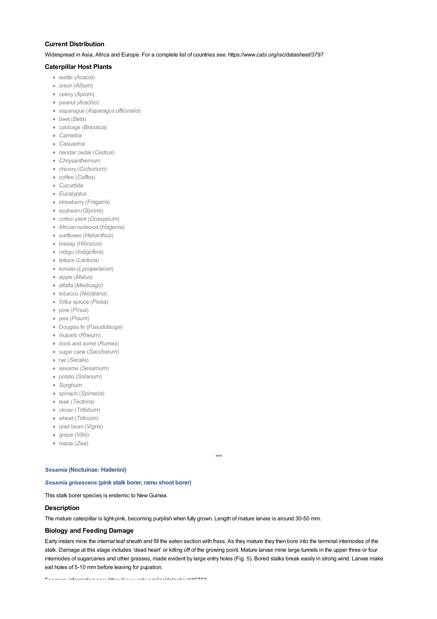## **Current Distribution**

Widespread in Asia, Africa and Europe. For a complete list of countries see: <https://www.cabi.org/isc/datasheet/3797>

## **Caterpillar Host Plants**

- wattle (*Acacia*)
- onion (*Allium*)
- celery (*Apium*)
- peanut (*Arachis*)
- asparagus (*Asparagus officinalis*)
- beet (*Beta*)
- cabbage (*Brassica*)
- *Camellia*
- *Casuarina*
- deodar cedar (*Cedrus*)
- *Chrysanthemum*
- chicory (*Cichorium*)
- coffee (*Coffea*)
- *Cucurbita*
- *Eucalyptus*
- strawberry (*Fragaria*)
- soybean (*Glycine*)
- cotton plant (*Gossypium*)
- African redwood (*Hagenia*)
- sunflower (*Helianthus*)
- bissap (*Hibiscus*)
- indigo (*Indigofera*)
- lettuce (*Lactuca*)
- tomato (*Lycopersicon*)
- apple (*Malus*)
- alfalfa (*Medicago*)
- tobacco (*Nicotiana*)
- Sitka spruce (*Picea*)
- pine (*Pinus*)
- pea (*Pisum*)
- Douglas fir (*Pseudotsuga*)
- rhubarb (*Rheum*)
- dock and sorrel (*Rumex*)
- sugar cane (*Saccharum*)
- rye (*Secale*)
- sesame (*Sesamum*)
- potato (*Solanum*)
- *Sorghum*
- spinach (*Spinacia*)
- teak (*Tectona*)
- clover (*Trifolium*)
- wheat (*Triticum*)
- urad bean (*Vigna*)
- grape (*Vitis*)
- maize (*Zea*)

#### *Sesamia* **(Noctuinae: Hadenini)**

## *Sesamia grisescens* **(pink stalk borer, ramu shoot borer)**

This stalk borer species is endemic to New Guinea.

#### **Description**

The mature caterpillar is light-pink, becoming purplish when fully grown. Length of mature larvae is around 30-50 mm.

#### **Biology and Feeding Damage**

Early instars mine the internal leaf sheath and fill the eaten section with [frass](file:///C:/Users/mathewt/AppData/Local/Temp/glossary.pdf#Caterpillar%20Key_frass). As they mature they then bore into the terminal internodes of the stalk. Damage at this stage includes 'dead heart' or killing off of the growing point. Mature larvae mine large tunnels in the upper three or four internodes of sugarcanes and other grasses, made evident by large entry holes (Fig. 5). Bored stalks break easily in strong wind. Larvae make exit holes of 5-10 mm before leaving for pupation.

 $\frac{1}{2}$  more information see information see information see information see information see in the see in the see in the see in the see in the see in the see in the second second second second second second second seco

# *\*\*\**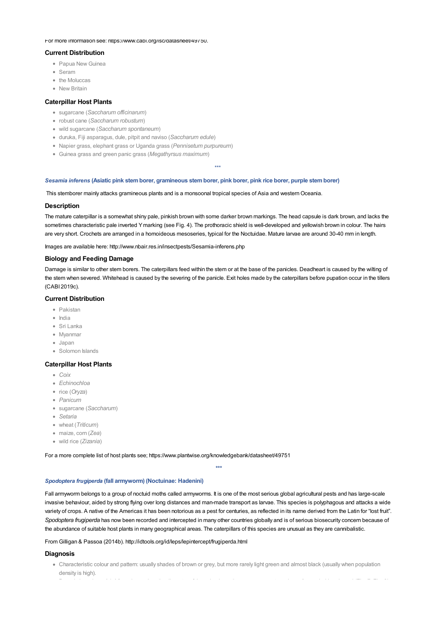#### For more information see: <https://www.cabi.org/isc/datasheet/49750>.

### **Current Distribution**

- Papua New Guinea
- Seram
- the Moluccas
- **New Britain**

#### **Caterpillar Host Plants**

- sugarcane (*Saccharum officinarum*)
- robust cane (*Saccharum robustum*)
- wild sugarcane (*Saccharum spontaneum*)
- duruka, Fiji asparagus, dule, pitpit and naviso (*Saccharum edule*)
- Napier grass, elephant grass or Uganda grass (*Pennisetum purpureum*)
- Guinea grass and green panic grass (*Megathyrsus maximum*)

#### *Sesamia inferens* **(Asiatic pink stemborer, gramineous stemborer, pink borer, pink rice borer, purple stemborer)**

This stemborer mainly attacks gramineous plants and is a monsoonal tropical species of Asia and western Oceania.

#### **Description**

The mature caterpillar is a somewhat shiny pale, pinkish brown with some darker brown markings. The head capsule is dark brown, and lacks the sometimes characteristic pale inverted Ymarking (see Fig. 4). The prothoracic shield is well-developed and yellowish brown in colour. The hairs are very short. Crochets are arranged in a homoideous mesoseries, typical for the Noctuidae. Mature larvae are around 30-40 mm in length.

 $\mathbf{r}$ 

Images are available here: <http://www.nbair.res.in/insectpests/Sesamia-inferens.php>

#### **Biology and Feeding Damage**

Damage is similar to other stem borers. The caterpillars feed within the stem or at the base of the panicles. Deadheart is caused by the wilting of the stem when severed. Whitehead is caused by the severing of the panicle. Exit holes made by the caterpillars before pupation occur in the tillers (CABI 2019c).

## **Current Distribution**

- Pakistan
- India
- Sri Lanka
- Myanmar
- Japan
- Solomon Islands

#### **Caterpillar Host Plants**

- *Coix*
- *Echinochloa*
- rice (*Oryza*)
- *Panicum*
- sugarcane (*Saccharum*)
- *Setaria*
- wheat (*Triticum*)
- maize, corn (*Zea*)
- wild rice (*Zizania*)

For a more complete list of [host](file:///C:/Users/mathewt/AppData/Local/Temp/glossary.pdf#Caterpillar%20Key_host) plants see; <https://www.plantwise.org/knowledgebank/datasheet/49751>

*\*\*\**

#### *Spodoptera frugiperda* **(fall armyworm) (Noctuinae: Hadenini)**

Fall armyworm belongs to a group of noctuid moths called armyworms. It is one of the most serious global agricultural pests and has large-scale invasive behaviour, aided by strong flying over long distances and man-made transport as larvae. This species is polyphagous and attacks a wide variety of crops. A native of the Americas it has been notorious as a pest for centuries, as reflected in its name derived from the Latin for "lost fruit". *Spodoptera frugiperda* has now been recorded and intercepted in many other countries globally and is of serious biosecurity concern because of the abundance of suitable host plants in many geographical areas. The caterpillars of this species are unusual as they are cannibalistic.

From Gilligan & Passoa (2014b). <http://idtools.org/id/leps/lepintercept/frugiperda.html>

#### **Diagnosis**

Characteristic colour and pattern: usually shades of brown or grey, but more rarely light green and almost black (usually when population density is high).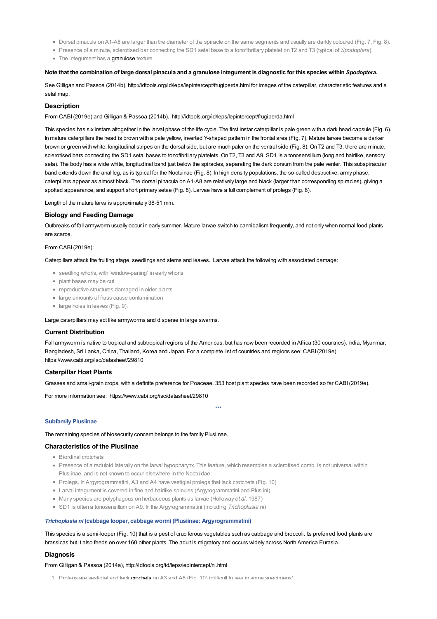- Dorsal pinacula on A1-A8 are larger than the diameter of the spiracle on the same segments and usually are darkly coloured (Fig. 7, Fig. 8).
- Presence of a minute, sclerotised bar connecting the SD1 setal base to a tonofibrillary platelet on T2 and T3 (typical of *Spodoptera*).
- The integument has a [granulose](file:///C:/Users/mathewt/AppData/Local/Temp/glossary.pdf#Caterpillar%20Key_granulose) texture.

#### Note that the combination of large dorsal pinacula and a granulose integument is diagnostic for this species within Spodoptera.

See Gilligan and Passoa (2014b). <http://idtools.org/id/leps/lepintercept/frugiperda.html> for images of the caterpillar, characteristic features and a [setal](file:///C:/Users/mathewt/AppData/Local/Temp/glossary.pdf#Caterpillar%20Key_setal%20map) map.

### **Description**

From CABI(2019e) and Gilligan & Passoa (2014b). <http://idtools.org/id/leps/lepintercept/frugiperda.html>

This species has six instars altogether in the larval phase of the life cycle. The first [instar](file:///C:/Users/mathewt/AppData/Local/Temp/glossary.pdf#Caterpillar%20Key_instar) caterpillar is pale green with a dark head capsule (Fig. 6). In mature caterpillars the head is brown with a pale yellow, inverted Y-shaped pattern in the frontal area (Fig. 7). Mature larvae become a darker brown or green with white, longitudinal stripes on the dorsal side, but are much paler on the [ventral](file:///C:/Users/mathewt/AppData/Local/Temp/glossary.pdf#Caterpillar%20Key_ventral) side (Fig. 8). On T2 and T3, there are minute, sclerotised bars connecting the SD1 setal bases to tonofibrillary platelets. On T2, T3 and A9, SD1 is a tonosensillum (long and hairlike, sensory seta). The body has a wide white, longitudinal band just below the spiracles, separating the dark [dorsum](file:///C:/Users/mathewt/AppData/Local/Temp/glossary.pdf#Caterpillar%20Key_dorsum) from the pale [venter](file:///C:/Users/mathewt/AppData/Local/Temp/glossary.pdf#Caterpillar%20Key_venter). This subspiracular band extends down the anal leg, as is typical for the Noctuinae (Fig. 8). In high density populations, the so-called destructive, army phase, caterpillars appear as almost black. The dorsal pinacula on A1-A8 are relatively large and black (larger than corresponding spiracles), giving a spotted appearance, and support short primary setae (Fig. 8). Larvae have a full complement of prolegs (Fig. 8).

Length of the mature larva is approximately 38-51 mm.

## **Biology and Feeding Damage**

Outbreaks of fall armyworm usually occur in early summer. Mature [larvae](file:///C:/Users/mathewt/AppData/Local/Temp/glossary.pdf#Caterpillar%20Key_larvae) switch to cannibalism frequently, and not only when normal food plants are scarce.

#### From CABI(2019e):

Caterpillars attack the fruiting stage, seedlings and stems and leaves. Larvae attack the following with associated damage:

- seedling whorls, with 'window-paning' in early whorls
- plant bases may be cut
- reproductive structures damaged in older plants
- large amounts of frass cause contamination
- large holes in leaves (Fig. 9).

Large caterpillars may act like armyworms and disperse in large swarms.

#### **Current Distribution**

Fall armyworm is native to tropical and subtropical regions of the Americas, but has now been recorded in Africa (30 countries), India, Myanmar, Bangladesh, Sri Lanka, China, Thailand, Korea and Japan. For a complete list of countries and regions see: CABI(2019e) <https://www.cabi.org/isc/datasheet/29810>

### **Caterpillar Host Plants**

Grasses and small-grain crops, with a definite preference for Poaceae. 353 host plant species have been recorded so far CABI(2019e).

For more information see: <https://www.cabi.org/isc/datasheet/29810>

\*\*\*

## **Subfamily Plusiinae**

The remaining species of biosecurity concern belongs to the family Plusiinae.

## **Characteristics of the Plusiinae**

- **Biordinal crotchate**
- Presence of a raduloid laterally on the larval hypopharynx. This feature, which resembles a sclerotised comb, is not universal within Plusiinae, and is not known to occur elsewhere in the Noctuidae.
- Prolegs. In Argyrogrammatini, A3 and A4 have vestigial prolegs that lack crotchets (Fig. 10)
- Larval integument is covered in fine and hairlike spinules (Argyrogrammatini and Plusiini)
- Many species are polyphagous on herbaceous plants as larvae (Holloway *et al*. 1987)
- SD1 is often a tonosensillum on A9. In the Argyrogrammatini (including *Trichoplusia ni*)

#### *Trichoplusia ni* **(cabbage looper, cabbage worm) (Plusiinae: Argyrogrammatini)**

This species is a semi-looper (Fig. 10) that is a pest of cruciferous vegetables such as cabbage and broccoli. Its preferred food plants are brassicas but it also feeds on over 160 other plants. The adult is migratory and occurs widely across North America Eurasia.

#### **Diagnosis**

From Gilligan & Passoa (2014a), <http://idtools.org/id/leps/lepintercept/ni.html>

1. Prolegs are vestigial and lack [crochets](file:///C:/Users/mathewt/AppData/Local/Temp/glossary.pdf#Caterpillar%20Key_crochets) on  $\Delta$ 3 and  $\Delta$ 6 (Fig. 10) (difficult to see in some specimens).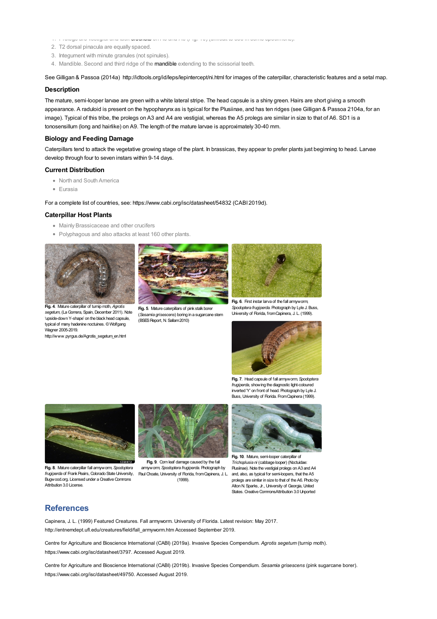- 1. Prolegs are vestigial and lack crochets on A3 and A6 (Fig. 10) (difficult to see in some specimens).
- 2. T2 dorsal pinacula are equally spaced.
- 3. Integument with minute granules (not spinules).
- 4. Mandible. Second and third ridge of the **[mandible](file:///C:/Users/mathewt/AppData/Local/Temp/glossary.pdf#Caterpillar%20Key_mandible)** extending to the scissorial teeth.

See Gilligan & Passoa (2014a) http://idtools.org/id/leps/lepintercept/ni.html for images of the caterpillar, characteristic features and a setal map.

#### **Description**

The mature, semi-looper larvae are green with a white lateral stripe. The head capsule is a shiny green. Hairs are short giving a smooth appearance. A raduloid is present on the hypopharynx as is typical for the Plusiinae, and has ten ridges (see Gilligan & Passoa 2104a, for an image). Typical of this tribe, the prolegs on A3 and A4 are vestigial, whereas the A5 prolegs are similar in size to that of A6. SD1 is a tonosensillum (long and hairlike) on A9. The length of the mature larvae is approximately 30-40 mm.

#### **Biology and Feeding Damage**

Caterpillars tend to attack the vegetative growing stage of the plant. In brassicas, they appear to prefer plants just beginning to head. Larvae develop through four to seven instars within 9-14 days.

#### **Current Distribution**

- North and South America
- Eurasia

For a complete list of countries, see: https://www.cabi.org/isc/datasheet/54832 (CABI 2019d).

#### **Caterpillar Host Plants**

- Mainly Brassicaceae and other crucifers
- Polyphagous and also attacks at least 160 other plants.



**Fig. 4**. Mature caterpillar of turnip moth, *Agrotis segetum*, (LaGomera, Spain, December 2011). Note ['upside-down](file:///C:/Users/mathewt/Documents/Support/Di%20Moyle/2020-11-30/key/caterpillar_key/Media/Images/entities/noctuidae/species_of_biosecurity_concern/noct_fig_4_fsf.jpg) Y-shape' on the black head capsule, typical of many hadenine noctuines. ©Wolfgang Wagner 2005-2019.

[http://www.pyrgus.de/Agrotis\\_segetum\\_en.html](http://www.pyrgus.de/Agrotis_segetum_en.html)



**Fig. 5**. Mature caterpillars of pink stalk borer (*Sesamia grisescens*) boring in a sugarcane stem (BSESReport, N. Sallam2010)



*Spodoptera frugiperda*. Photograph by Lyle J. Buss, University of Florida, fromCapinera, J. L. (1999).



**Fig. 7**. Head capsule of fall armyworm, *Spodoptera frugiperda*, showing the diagnostic light-coloured inverted 'Y' on front of head. Photograph by Lyle J. Buss, University of Florida. FromCapinera (1999).



**Fig. 8**. Mature caterpillar fall armyworm, *Spodoptera frugiperda* of Frank Peairs, Colorado State University, Bugwood.org. Licensed under a Creative Commons Attribution 3.0 License.



**Fig. 9**. Corn leaf damage caused by the fall armyworm, *Spodoptera frugiperda*. Photograph by Paul Choate, University of Florida, from Capinera, J. L. (1999).



**Fig. 10**. Mature, semi-looper caterpillar of *Trichoplusia ni* (cabbage looper) (Noctuidae: Plusiinae). Note the vestigial prolegs on A3 and A4 and, also, as typical for semi-loopers, that the A5 prolegs are similar in size to that of the A6. Photo by AltonN. Sparks, Jr., University of Georgia, United States. Creative CommonsAttribution 3.0 Unported

# **References**

Capinera, J. L. (1999) Featured Creatures. Fall armyworm. University of Florida. Latest revision: May 2017. http://entnemdept.ufl.edu/creatures/field/fall\_armyworm.htm Accessed September 2019.

Centre for Agriculture and Bioscience International (CABI) (2019a). Invasive Species Compendium. *Agrotis segetum* (turnip moth). https://www.cabi.org/isc/datasheet/3797. Accessed August 2019.

Centre for Agriculture and Bioscience International (CABI) (2019b). Invasive Species Compendium. *Sesamia grisescens* (pink sugarcane borer). https://www.cabi.org/isc/datasheet/49750. Accessed August 2019.